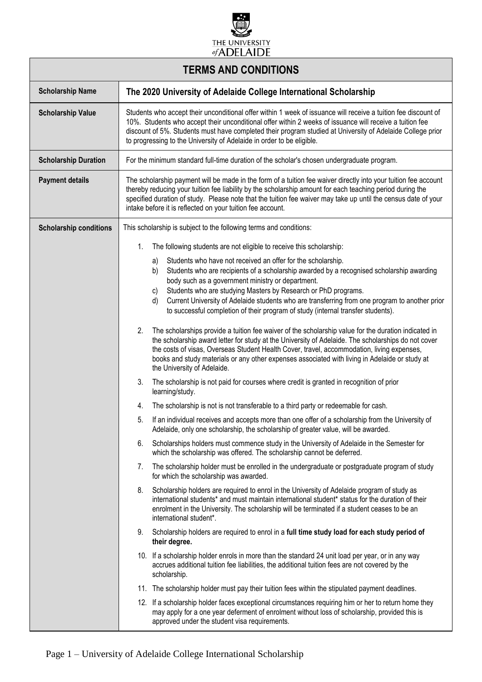

| <b>TERMS AND CONDITIONS</b>   |                                                                                                                                                                                                                                                                                                                                                                                                                                                                                                |  |
|-------------------------------|------------------------------------------------------------------------------------------------------------------------------------------------------------------------------------------------------------------------------------------------------------------------------------------------------------------------------------------------------------------------------------------------------------------------------------------------------------------------------------------------|--|
| <b>Scholarship Name</b>       | The 2020 University of Adelaide College International Scholarship                                                                                                                                                                                                                                                                                                                                                                                                                              |  |
| <b>Scholarship Value</b>      | Students who accept their unconditional offer within 1 week of issuance will receive a tuition fee discount of<br>10%. Students who accept their unconditional offer within 2 weeks of issuance will receive a tuition fee<br>discount of 5%. Students must have completed their program studied at University of Adelaide College prior<br>to progressing to the University of Adelaide in order to be eligible.                                                                              |  |
| <b>Scholarship Duration</b>   | For the minimum standard full-time duration of the scholar's chosen undergraduate program.                                                                                                                                                                                                                                                                                                                                                                                                     |  |
| <b>Payment details</b>        | The scholarship payment will be made in the form of a tuition fee waiver directly into your tuition fee account<br>thereby reducing your tuition fee liability by the scholarship amount for each teaching period during the<br>specified duration of study. Please note that the tuition fee waiver may take up until the census date of your<br>intake before it is reflected on your tuition fee account.                                                                                   |  |
| <b>Scholarship conditions</b> | This scholarship is subject to the following terms and conditions:                                                                                                                                                                                                                                                                                                                                                                                                                             |  |
|                               | 1.<br>The following students are not eligible to receive this scholarship:                                                                                                                                                                                                                                                                                                                                                                                                                     |  |
|                               | Students who have not received an offer for the scholarship.<br>a)<br>Students who are recipients of a scholarship awarded by a recognised scholarship awarding<br>b)<br>body such as a government ministry or department.<br>Students who are studying Masters by Research or PhD programs.<br>C)<br>Current University of Adelaide students who are transferring from one program to another prior<br>d)<br>to successful completion of their program of study (internal transfer students). |  |
|                               | The scholarships provide a tuition fee waiver of the scholarship value for the duration indicated in<br>2.<br>the scholarship award letter for study at the University of Adelaide. The scholarships do not cover<br>the costs of visas, Overseas Student Health Cover, travel, accommodation, living expenses,<br>books and study materials or any other expenses associated with living in Adelaide or study at<br>the University of Adelaide.                                               |  |
|                               | The scholarship is not paid for courses where credit is granted in recognition of prior<br>3.<br>learning/study.                                                                                                                                                                                                                                                                                                                                                                               |  |
|                               | The scholarship is not is not transferable to a third party or redeemable for cash.<br>4.                                                                                                                                                                                                                                                                                                                                                                                                      |  |
|                               | If an individual receives and accepts more than one offer of a scholarship from the University of<br>5.<br>Adelaide, only one scholarship, the scholarship of greater value, will be awarded.                                                                                                                                                                                                                                                                                                  |  |
|                               | 6.<br>Scholarships holders must commence study in the University of Adelaide in the Semester for<br>which the scholarship was offered. The scholarship cannot be deferred.                                                                                                                                                                                                                                                                                                                     |  |
|                               | 7.<br>The scholarship holder must be enrolled in the undergraduate or postgraduate program of study<br>for which the scholarship was awarded.                                                                                                                                                                                                                                                                                                                                                  |  |
|                               | Scholarship holders are required to enrol in the University of Adelaide program of study as<br>8.<br>international students* and must maintain international student* status for the duration of their<br>enrolment in the University. The scholarship will be terminated if a student ceases to be an<br>international student*.                                                                                                                                                              |  |
|                               | Scholarship holders are required to enrol in a full time study load for each study period of<br>9.<br>their degree.                                                                                                                                                                                                                                                                                                                                                                            |  |
|                               | 10. If a scholarship holder enrols in more than the standard 24 unit load per year, or in any way<br>accrues additional tuition fee liabilities, the additional tuition fees are not covered by the<br>scholarship.                                                                                                                                                                                                                                                                            |  |
|                               | 11. The scholarship holder must pay their tuition fees within the stipulated payment deadlines.                                                                                                                                                                                                                                                                                                                                                                                                |  |
|                               | 12. If a scholarship holder faces exceptional circumstances requiring him or her to return home they<br>may apply for a one year deferment of enrolment without loss of scholarship, provided this is<br>approved under the student visa requirements.                                                                                                                                                                                                                                         |  |